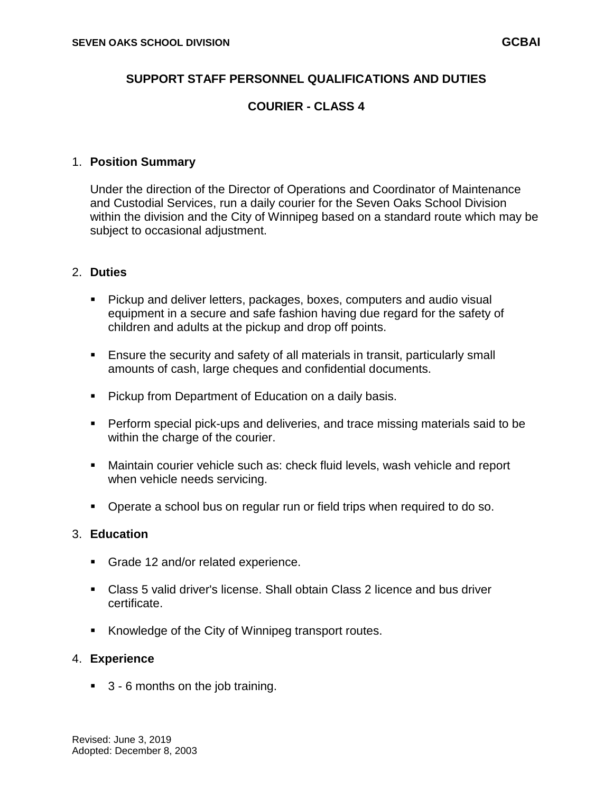## **SUPPORT STAFF PERSONNEL QUALIFICATIONS AND DUTIES**

# **COURIER - CLASS 4**

#### 1. **Position Summary**

Under the direction of the Director of Operations and Coordinator of Maintenance and Custodial Services, run a daily courier for the Seven Oaks School Division within the division and the City of Winnipeg based on a standard route which may be subject to occasional adjustment.

### 2. **Duties**

- Pickup and deliver letters, packages, boxes, computers and audio visual equipment in a secure and safe fashion having due regard for the safety of children and adults at the pickup and drop off points.
- Ensure the security and safety of all materials in transit, particularly small amounts of cash, large cheques and confidential documents.
- **Pickup from Department of Education on a daily basis.**
- Perform special pick-ups and deliveries, and trace missing materials said to be within the charge of the courier.
- Maintain courier vehicle such as: check fluid levels, wash vehicle and report when vehicle needs servicing.
- **•** Operate a school bus on regular run or field trips when required to do so.

# 3. **Education**

- Grade 12 and/or related experience.
- Class 5 valid driver's license. Shall obtain Class 2 licence and bus driver certificate.
- Knowledge of the City of Winnipeg transport routes.

#### 4. **Experience**

■ 3 - 6 months on the job training.